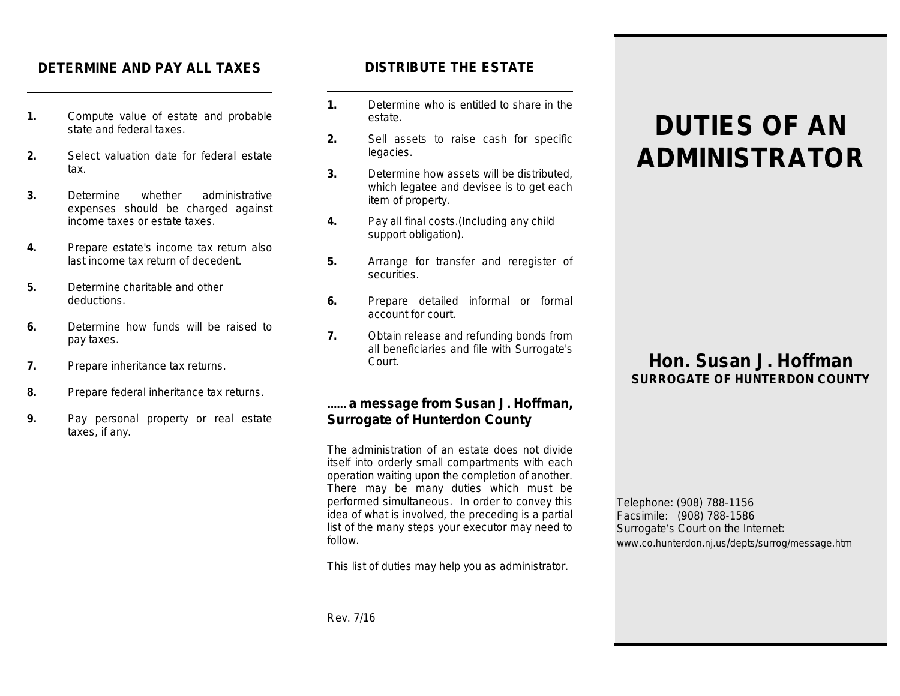#### **DETERMINE AND PAY ALL TAXES**

- **1.** Compute value of estate and probable state and federal taxes.
- **2.** Select valuation date for federal estate tax.
- **3.** Determine whether administrative expenses should be charged against income taxes or estate taxes.
- **4.** Prepare estate's income tax return also last income tax return of decedent.
- **5.** Determine charitable and other deductions.
- **6.** Determine how funds will be raised to pay taxes.
- **7.** Prepare inheritance tax returns.
- **8.** Prepare federal inheritance tax returns.
- **9.** Pay personal property or real estate taxes, if any.

#### **DISTRIBUTE THE ESTATE**

- **1.** Determine who is entitled to share in the estate.
- **2.** Sell assets to raise cash for specific legacies.
- **3.** Determine how assets will be distributed, which legatee and devisee is to get each item of property.
- **4.** Pay all final costs.(Including any child support obligation).
- **5.** Arrange for transfer and reregister of securities.
- **6.** Prepare detailed informal or formal account for court.
- **7.** Obtain release and refunding bonds from all beneficiaries and file with Surrogate's Court.

#### **...... a message from Susan J. Hoffman, Surrogate of Hunterdon County**

The administration of an estate does not divide itself into orderly small compartments with each operation waiting upon the completion of another. There may be many duties which must be performed simultaneous. In order to convey this idea of what is involved, the preceding is a partial list of the many steps your executor may need to follow.

This list of duties may help you as administrator.

# **DUTIES OF AN ADMINISTRATOR**

## **Hon. Susan J. Hoffman SURROGATE OF HUNTERDON COUNTY**

Telephone: (908) 788-1156 Facsimile: (908) 788-1586 Surrogate's Court on the Internet: www.co.hunterdon.nj.us/depts/surrog/message.htm